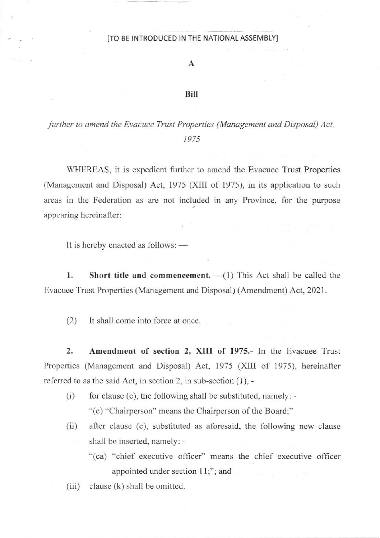## ITO BE INTRODUCED IN THE NATIONAL ASSEMBLY]

A

## Bill

further to amend the Evacuee Trust Properties (Management and Disposal) Act, 1975

WHEREAS, it is expedient further to amend the Evacuee Trust Properties (Management and Disposal) Act, 1975 (XIII of 1975), in its application to such areas in the Federation as are not included in any Province, for the purpose appearing hereinafler:

It is hereby enacted as follows:  $-$ 

1. Short title and commencement.  $-\frac{1}{1}$  This Act shall be called the Evacuee Trust Properties (Management and Disposal) (Amendment) Act, 2021.

(2) It shall come into force at once

2. Amendment of section 2, XIII of 1975.- In the Evacuee Trust Properties (Management and Disposal) Act, 1975 (XIII of 1975), hereinafter referred to as the said Act, in section 2, in sub-section  $(1)$ , -

- (i) for clausc (c), the following shall be substituted, namely: "(c) "Chairperson" means the Chairperson of the Board;"
- $(ii)$  after clause (c), substituted as aforesaid, the following new clause shall be inserted, namely: -
	- "(ca) "chief executive officer" means the chief executive officer appointed under section  $11$ ;"; and
- $(iii)$  clause  $(k)$  shall be omitted.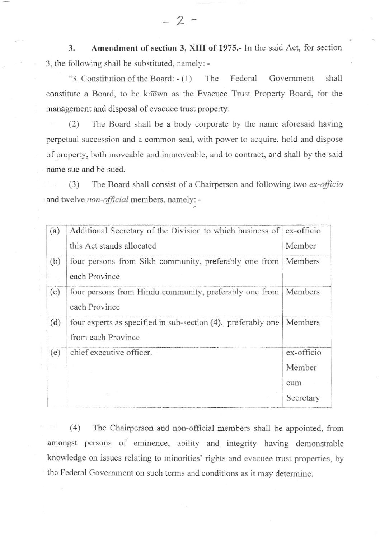Amendment of section 3, XIII of 1975.- In the said Act, for section 3. 3, the following shall be substituted, namely: -

"3. Constitution of the Board:  $-(1)$ The Federal Government shall constitute a Board, to be known as the Evacuee Trust Property Board, for the management and disposal of evacuee trust property.

The Board shall be a body corporate by the name aforesaid having  $(2)$ perpetual succession and a common seal, with power to acquire, hold and dispose of property, both moveable and immoveable, and to contract, and shall by the said name sue and be sued.

 $(3)$ The Board shall consist of a Chairperson and following two ex-officio and twelve non-official members, namely: -

| (a) | Additional Secretary of the Division to which business of ex-officio               |            |
|-----|------------------------------------------------------------------------------------|------------|
|     | this Act stands allocated                                                          | Member     |
| (b) | four persons from Sikh community, preferably one from<br>each Province             | Members    |
| (c) | four persons from Hindu community, preferably one from<br>each Province            | Members    |
| (d) | four experts as specified in sub-section (4), preferably one<br>from each Province | Members    |
| (e) | chief executive officer.                                                           | ex-officio |
|     |                                                                                    | Member     |
|     |                                                                                    | cum        |
|     |                                                                                    | Secretary  |

 $(4)$ The Chairperson and non-official members shall be appointed, from amongst persons of eminence, ability and integrity having demonstrable knowledge on issues relating to minorities' rights and evacuee trust properties, by the Federal Government on such terms and conditions as it may determine.

 $-2-$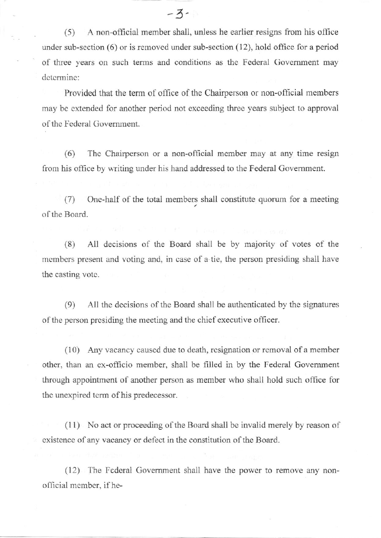(5) <sup>A</sup>non-offrcial member shall, unless he earlier resigns fiom his ofhce under sub-section  $(6)$  or is removed under sub-section  $(12)$ , hold office for a period of three years on such terms and conditions as the Federal Government may determine:

Provided that the term of office of the Chairperson or non-official members may be extended for another period not exceeding three years subject to approval of the Fcderal Govemment.

(6) Thc Chairperson or a non-official member may at any time resign from his office by writing under his hand addressed to the Federal Government.

(7) One-half of the total members shall constitute quorum for a meeting of the Board.

(8) All decisions of the Board shall be by majority of votes of the mcmbers present and voting and, in case of a tie, the person presiding shall have the casting vote.

(9) All the decisions of the Board shall be authenticated by the signatures of the person presiding the meeting and the chief executive officer.

 $(10)$  Any vacancy caused due to death, resignation or removal of a member othcr, than an ex-oflicio member, shall be filled ir by the Federal Govemment through appointment of another person as member who shall hold such office for the unexpired term of his predecessor.

 $(11)$  No act or proceeding of the Board shall be invalid merely by reason of existence of any vacancy or defect in the constitution of the Board.

(12) The Federal Government shall have the power to remove any nonofficial member, if he-

 $-3-$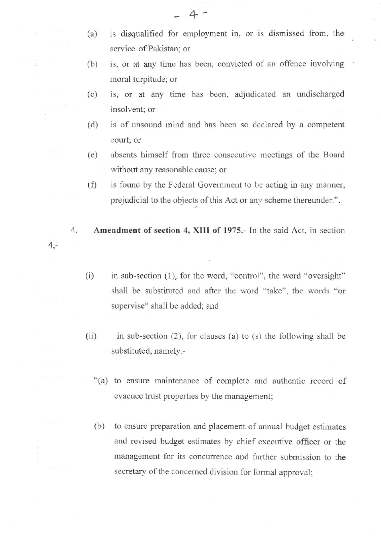- (a) is disqualified for employment in, or is dismissed fiom, the service of Pakistan; or
- (b) is, or at any time has been, convicted of an offence involving moral turpitude; or
- (c) is, or at any time has been, adjudicated an undischarged insolvent; or
- (d) is of unsound mind and has been so declared by a competent court; or
- (e) absents himself fiom three consecutive meetings of the Board without any reasonable cause; or
- $(f)$  is found by the Federal Government to be acting in any manner, prejudicial to the objects of this Act or any scheme thereunder.".
- 4. Amendment of section 4, XIII of 1975.- In the said Act, in section  $4, -$ 
	- (i) in sub-section (1), for the word, "control", the word "oversight" shall be substituted and after the word "take", the words "or supervise" shall be added; and
	- $(ii)$  in sub-section (2), for clauses (a) to (s) the following shall be substituted, namely:-
		- "(a) to ensure maintenance of complete and authentic record of evacuee trust properties by the management;
		- (b) to ensure preparation and placement of amual budget eslimates and revised budget estimates by chief executive officer or the management for its concurrence and further submission to the secretary of the concerned division for formal approval;

 $4 -$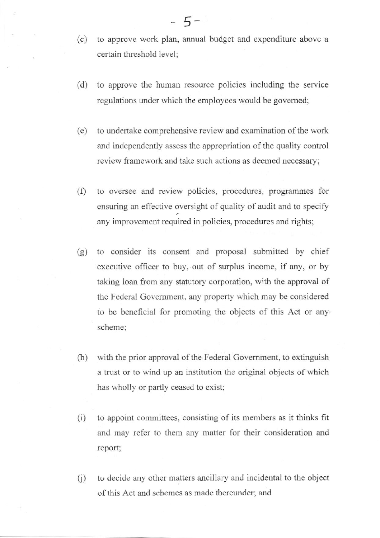- (c) to approvc work plan, annual budget and expenditurc above <sup>a</sup> certain threshold level;
- (d) to approve the human resource policies including the service regulations under which the employees would be governed;
- (e) to undertake comprehensive review and examination of the work and independently assess the appropriation of the quality control review framcwork and take such actions as deemed necessary;
- (f) to oversee and review policies, procedures, programmes for ensuring an effective oversight of quality of audit and to specify any improvement required in policies, procedures and rights;
- (g) to consider its consent and proposal submitted by chief executive officer to buy, out of surplus income, if any, or by taking loan from any statutory corporation, with the approval of thc Federal Govemment, any property which may be considered to be beneficial for promoting the objccts of this Act or any scheme;
- (h) with the prior approval of the Federal Government, to extinguish a trust or to wind up an institution the original objects of which has wholly or partly ceased to exist;
- $(i)$  to appoint committees, consisting of its members as it thinks fit and may refer to them any matter for their consideration and report;
- $(i)$  to decide any other matters ancillary and incidental to the object of this Act and schemes as made thereunder; and